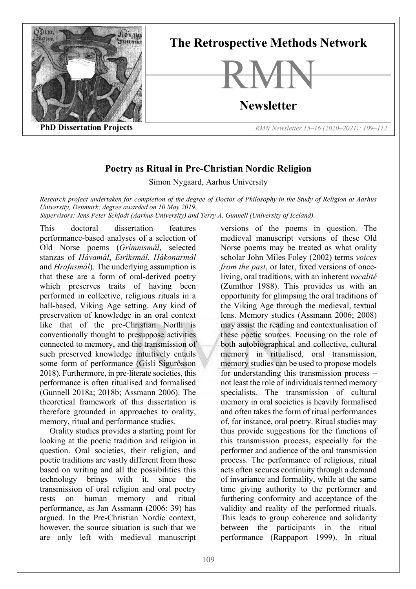

## **Poetry as Ritual in Pre-Christian Nordic Religion**

Simon Nygaard, Aarhus University

*Research project undertaken for completion of the degree of Doctor of Philosophy in the Study of Religion at Aarhus University, Denmark; degree awarded on 10 May 2019. Supervisors: Jens Peter Schjødt (Aarhus University) and Terry A. Gunnell (University of Iceland).*

This doctoral dissertation features performance-based analyses of a selection of Old Norse poems (*Grímnismál*, selected stanzas of *Hávamál*, *Eiríksmál*, *Hákonarmál*  and *Hrafnsmál*). The underlying assumption is that these are a form of oral-derived poetry which preserves traits of having been performed in collective, religious rituals in a hall-based, Viking Age setting. Any kind of preservation of knowledge in an oral context like that of the pre-Christian North is conventionally thought to presuppose activities connected to memory, and the transmission of such preserved knowledge intuitively entails some form of performance (Gísli Sigurðsson 2018). Furthermore, in pre-literate societies, this performance is often ritualised and formalised (Gunnell 2018a; 2018b; Assmann 2006). The theoretical framework of this dissertation is therefore grounded in approaches to orality, memory, ritual and performance studies.

Orality studies provides a starting point for looking at the poetic tradition and religion in question. Oral societies, their religion, and poetic traditions are vastly different from those based on writing and all the possibilities this technology brings with it, since the transmission of oral religion and oral poetry rests on human memory and ritual performance, as Jan Assmann (2006: 39) has argued. In the Pre-Christian Nordic context, however, the source situation is such that we are only left with medieval manuscript

versions of the poems in question. The medieval manuscript versions of these Old Norse poems may be treated as what orality scholar John Miles Foley (2002) terms *voices from the past*, or later, fixed versions of onceliving, oral traditions, with an inherent *vocalité* (Zumthor 1988). This provides us with an opportunity for glimpsing the oral traditions of the Viking Age through the medieval, textual lens. Memory studies (Assmann 2006; 2008) may assist the reading and contextualisation of these poetic sources. Focusing on the role of both autobiographical and collective, cultural memory in ritualised, oral transmission, memory studies can be used to propose models for understanding this transmission process – not least the role of individuals termed memory specialists. The transmission of cultural memory in oral societies is heavily formalised and often takes the form of ritual performances of, for instance, oral poetry. Ritual studies may thus provide suggestions for the functions of this transmission process, especially for the performer and audience of the oral transmission process. The performance of religious, ritual acts often secures continuity through a demand of invariance and formality, while at the same time giving authority to the performer and furthering conformity and acceptance of the validity and reality of the performed rituals. This leads to group coherence and solidarity between the participants in the ritual performance (Rappaport 1999). In ritual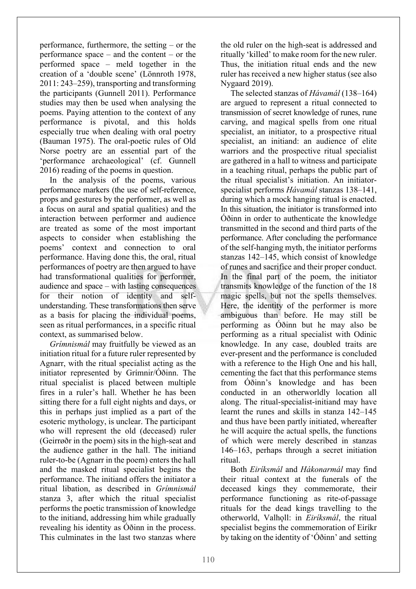performance, furthermore, the setting – or the performance space – and the content – or the performed space – meld together in the creation of a 'double scene' (Lönnroth 1978, 2011: 243–259), transporting and transforming the participants (Gunnell 2011). Performance studies may then be used when analysing the poems. Paying attention to the context of any performance is pivotal, and this holds especially true when dealing with oral poetry (Bauman 1975). The oral-poetic rules of Old Norse poetry are an essential part of the 'performance archaeological' (cf. Gunnell 2016) reading of the poems in question.

In the analysis of the poems, various performance markers (the use of self-reference, props and gestures by the performer, as well as a focus on aural and spatial qualities) and the interaction between performer and audience are treated as some of the most important aspects to consider when establishing the poems' context and connection to oral performance. Having done this, the oral, ritual performances of poetry are then argued to have had transformational qualities for performer, audience and space – with lasting consequences for their notion of identity and selfunderstanding. These transformations then serve as a basis for placing the individual poems, seen as ritual performances, in a specific ritual context, as summarised below.

*Grímnismál* may fruitfully be viewed as an initiation ritual for a future ruler represented by Agnarr, with the ritual specialist acting as the initiator represented by Grímnir/Óðinn. The ritual specialist is placed between multiple fires in a ruler's hall. Whether he has been sitting there for a full eight nights and days, or this in perhaps just implied as a part of the esoteric mythology, is unclear. The participant who will represent the old (deceased) ruler (Geirrøðr in the poem) sits in the high-seat and the audience gather in the hall. The initiand ruler-to-be (Agnarr in the poem) enters the hall and the masked ritual specialist begins the performance. The initiand offers the initiator a ritual libation, as described in *Grímnismál*  stanza 3, after which the ritual specialist performs the poetic transmission of knowledge to the initiand, addressing him while gradually revealing his identity as Óðinn in the process. This culminates in the last two stanzas where

the old ruler on the high-seat is addressed and ritually 'killed' to make room for the new ruler. Thus, the initiation ritual ends and the new ruler has received a new higher status (see also Nygaard 2019).

The selected stanzas of *Hávamál* (138–164) are argued to represent a ritual connected to transmission of secret knowledge of runes, rune carving, and magical spells from one ritual specialist, an initiator, to a prospective ritual specialist, an initiand: an audience of elite warriors and the prospective ritual specialist are gathered in a hall to witness and participate in a teaching ritual, perhaps the public part of the ritual specialist's initiation. An initiatorspecialist performs *Hávamál* stanzas 138–141, during which a mock hanging ritual is enacted. In this situation, the initiator is transformed into Óðinn in order to authenticate the knowledge transmitted in the second and third parts of the performance. After concluding the performance of the self-hanging myth, the initiator performs stanzas 142–145, which consist of knowledge of runes and sacrifice and their proper conduct. In the final part of the poem, the initiator transmits knowledge of the function of the 18 magic spells, but not the spells themselves. Here, the identity of the performer is more ambiguous than before. He may still be performing as Óðinn but he may also be performing as a ritual specialist with Odinic knowledge. In any case, doubled traits are ever-present and the performance is concluded with a reference to the High One and his hall, cementing the fact that this performance stems from Óðinn's knowledge and has been conducted in an otherworldly location all along. The ritual-specialist-initiand may have learnt the runes and skills in stanza 142–145 and thus have been partly initiated, whereafter he will acquire the actual spells, the functions of which were merely described in stanzas 146–163, perhaps through a secret initiation ritual.

Both *Eiríksmál* and *Hákonarmál* may find their ritual context at the funerals of the deceased kings they commemorate, their performance functioning as rite-of-passage rituals for the dead kings travelling to the otherworld, Valhǫll: in *Eiríksmál*, the ritual specialist begins the commemoration of Eiríkr by taking on the identity of 'Óðinn' and setting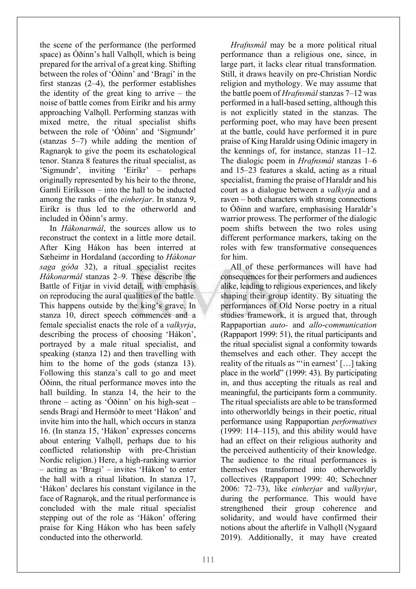the scene of the performance (the performed space) as Oðinn's hall Valholl, which is being prepared for the arrival of a great king. Shifting between the roles of 'Óðinn' and 'Bragi' in the first stanzas (2–4), the performer establishes the identity of the great king to arrive – the noise of battle comes from Eiríkr and his army approaching Valholl. Performing stanzas with mixed metre, the ritual specialist shifts between the role of 'Óðinn' and 'Sigmundr' (stanzas 5–7) while adding the mention of Ragnarok to give the poem its eschatological tenor. Stanza 8 features the ritual specialist, as 'Sigmundr', inviting 'Eiríkr' – perhaps originally represented by his heir to the throne, Gamli Eiríksson – into the hall to be inducted among the ranks of the *einherjar*. In stanza 9, Eiríkr is thus led to the otherworld and included in Óðinn's army.

In *Hákonarmál*, the sources allow us to reconstruct the context in a little more detail. After King Hákon has been interred at Sæheimr in Hordaland (according to *Hákonar saga góða* 32), a ritual specialist recites *Hákonarmál* stanzas 2–9. These describe the Battle of Fitjar in vivid detail, with emphasis on reproducing the aural qualities of the battle. This happens outside by the king's grave. In stanza 10, direct speech commences and a female specialist enacts the role of a *valkyrja*, describing the process of choosing 'Hákon', portrayed by a male ritual specialist, and speaking (stanza 12) and then travelling with him to the home of the gods (stanza 13). Following this stanza's call to go and meet Óðinn, the ritual performance moves into the hall building. In stanza 14, the heir to the throne – acting as 'Óðinn' on his high-seat – sends Bragi and Hermóðr to meet 'Hákon' and invite him into the hall, which occurs in stanza 16. (In stanza 15, 'Hákon' expresses concerns about entering Valholl, perhaps due to his conflicted relationship with pre-Christian Nordic religion.) Here, a high-ranking warrior – acting as 'Bragi' – invites 'Hákon' to enter the hall with a ritual libation. In stanza 17, 'Hákon' declares his constant vigilance in the face of Ragnarok, and the ritual performance is concluded with the male ritual specialist stepping out of the role as 'Hákon' offering praise for King Hákon who has been safely conducted into the otherworld.

*Hrafnsmál* may be a more political ritual performance than a religious one, since, in large part, it lacks clear ritual transformation. Still, it draws heavily on pre-Christian Nordic religion and mythology. We may assume that the battle poem of *Hrafnsmál* stanzas 7–12 was performed in a hall-based setting, although this is not explicitly stated in the stanzas. The performing poet, who may have been present at the battle, could have performed it in pure praise of King Haraldr using Odinic imagery in the kennings of, for instance, stanzas 11–12. The dialogic poem in *Hrafnsmál* stanzas 1–6 and 15–23 features a skald, acting as a ritual specialist, framing the praise of Haraldr and his court as a dialogue between a *valkyrja* and a raven – both characters with strong connections to Óðinn and warfare, emphasising Haraldr's warrior prowess. The performer of the dialogic poem shifts between the two roles using different performance markers, taking on the roles with few transformative consequences for him.

All of these performances will have had consequences for their performers and audiences alike, leading to religious experiences, and likely shaping their group identity. By situating the performances of Old Norse poetry in a ritual studies framework, it is argued that, through Rappaportian *auto-* and *allo*-*communication* (Rappaport 1999: 51), the ritual participants and the ritual specialist signal a conformity towards themselves and each other. They accept the reality of the rituals as "'in earnest' […] taking place in the world" (1999: 43). By participating in, and thus accepting the rituals as real and meaningful, the participants form a community. The ritual specialists are able to be transformed into otherworldly beings in their poetic, ritual performance using Rappaportian *performatives* (1999: 114–115), and this ability would have had an effect on their religious authority and the perceived authenticity of their knowledge. The audience to the ritual performances is themselves transformed into otherworldly collectives (Rappaport 1999: 40; Schechner 2006: 72–73), like *einherjar* and *valkyrjur*, during the performance. This would have strengthened their group coherence and solidarity, and would have confirmed their notions about the afterlife in Valholl (Nygaard 2019). Additionally, it may have created